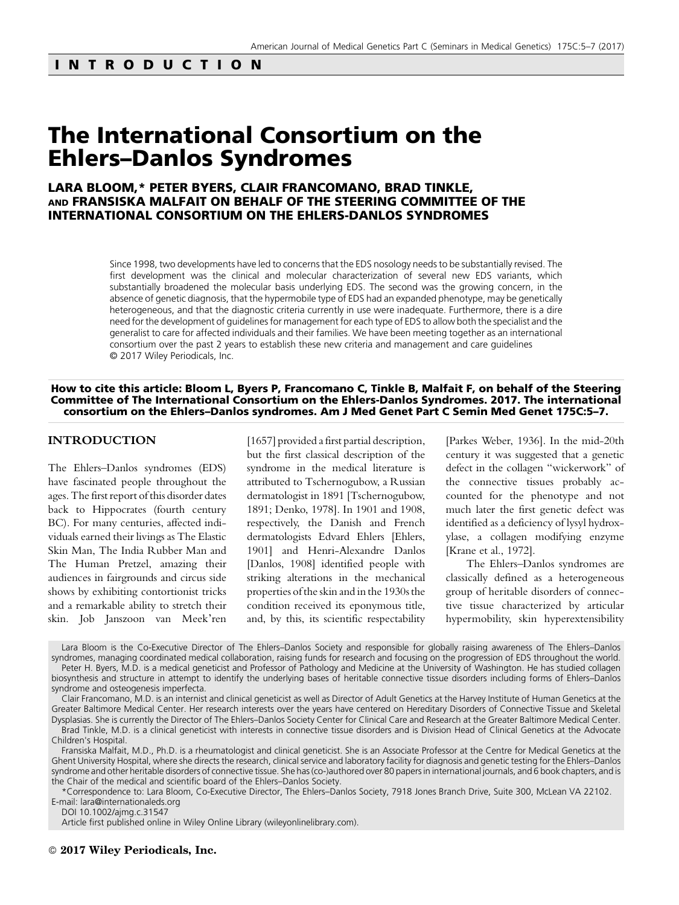# INTRODUCTION

# The International Consortium on the Ehlers–Danlos Syndromes

## LARA BLOOM,\* PETER BYERS, CLAIR FRANCOMANO, BRAD TINKLE, AND FRANSISKA MALFAIT ON BEHALF OF THE STEERING COMMITTEE OF THE INTERNATIONAL CONSORTIUM ON THE EHLERS-DANLOS SYNDROMES

Since 1998, two developments have led to concerns that the EDS nosology needs to be substantially revised. The first development was the clinical and molecular characterization of several new EDS variants, which substantially broadened the molecular basis underlying EDS. The second was the growing concern, in the absence of genetic diagnosis, that the hypermobile type of EDS had an expanded phenotype, may be genetically heterogeneous, and that the diagnostic criteria currently in use were inadequate. Furthermore, there is a dire need for the development of guidelines for management for each type of EDS to allow both the specialist and the generalist to care for affected individuals and their families. We have been meeting together as an international consortium over the past 2 years to establish these new criteria and management and care guidelines © 2017 Wiley Periodicals, Inc.

#### How to cite this article: Bloom L, Byers P, Francomano C, Tinkle B, Malfait F, on behalf of the Steering Committee of The International Consortium on the Ehlers-Danlos Syndromes. 2017. The international consortium on the Ehlers–Danlos syndromes. Am J Med Genet Part C Semin Med Genet 175C:5–7.

## INTRODUCTION

The Ehlers–Danlos syndromes (EDS) have fascinated people throughout the ages. The first report of this disorder dates back to Hippocrates (fourth century BC). For many centuries, affected individuals earned their livings as The Elastic Skin Man, The India Rubber Man and The Human Pretzel, amazing their audiences in fairgrounds and circus side shows by exhibiting contortionist tricks and a remarkable ability to stretch their skin. Job Janszoon van Meek'ren [1657] provided a first partial description, but the first classical description of the syndrome in the medical literature is attributed to Tschernogubow, a Russian dermatologist in 1891 [Tschernogubow, 1891; Denko, 1978]. In 1901 and 1908, respectively, the Danish and French dermatologists Edvard Ehlers [Ehlers, 1901] and Henri-Alexandre Danlos [Danlos, 1908] identified people with striking alterations in the mechanical properties of the skin and in the 1930s the condition received its eponymous title, and, by this, its scientific respectability [Parkes Weber, 1936]. In the mid-20th century it was suggested that a genetic defect in the collagen "wickerwork" of the connective tissues probably accounted for the phenotype and not much later the first genetic defect was identified as a deficiency of lysyl hydroxylase, a collagen modifying enzyme [Krane et al., 1972].

The Ehlers–Danlos syndromes are classically defined as a heterogeneous group of heritable disorders of connective tissue characterized by articular hypermobility, skin hyperextensibility

Lara Bloom is the Co-Executive Director of The Ehlers–Danlos Society and responsible for globally raising awareness of The Ehlers–Danlos syndromes, managing coordinated medical collaboration, raising funds for research and focusing on the progression of EDS throughout the world. Peter H. Byers, M.D. is a medical geneticist and Professor of Pathology and Medicine at the University of Washington. He has studied collagen

biosynthesis and structure in attempt to identify the underlying bases of heritable connective tissue disorders including forms of Ehlers–Danlos syndrome and osteogenesis imperfecta.

Clair Francomano, M.D. is an internist and clinical geneticist as well as Director of Adult Genetics at the Harvey Institute of Human Genetics at the Greater Baltimore Medical Center. Her research interests over the years have centered on Hereditary Disorders of Connective Tissue and Skeletal Dysplasias. She is currently the Director of The Ehlers–Danlos Society Center for Clinical Care and Research at the Greater Baltimore Medical Center. Brad Tinkle, M.D. is a clinical geneticist with interests in connective tissue disorders and is Division Head of Clinical Genetics at the Advocate

Children's Hospital.

Fransiska Malfait, M.D., Ph.D. is a rheumatologist and clinical geneticist. She is an Associate Professor at the Centre for Medical Genetics at the Ghent University Hospital, where she directs the research, clinical service and laboratory facility for diagnosis and genetic testing for the Ehlers–Danlos syndrome and other heritable disorders of connective tissue. She has (co-)authored over 80 papers in international journals, and 6 book chapters, and is the Chair of the medical and scientific board of the Ehlers–Danlos Society.

\*Correspondence to: Lara Bloom, Co-Executive Director, The Ehlers–Danlos Society, 7918 Jones Branch Drive, Suite 300, McLean VA 22102. E-mail: lara@internationaleds.org

DOI 10.1002/ajmg.c.31547

Article first published online in Wiley Online Library (wileyonlinelibrary.com).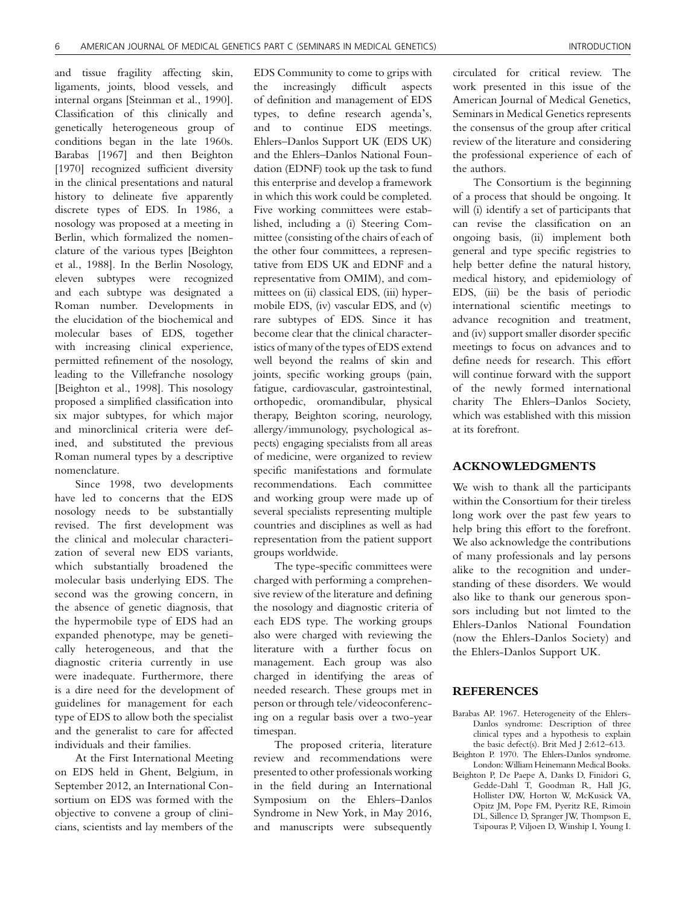and tissue fragility affecting skin, ligaments, joints, blood vessels, and internal organs [Steinman et al., 1990]. Classification of this clinically and genetically heterogeneous group of conditions began in the late 1960s. Barabas [1967] and then Beighton [1970] recognized sufficient diversity in the clinical presentations and natural history to delineate five apparently discrete types of EDS. In 1986, a nosology was proposed at a meeting in Berlin, which formalized the nomenclature of the various types [Beighton et al., 1988]. In the Berlin Nosology, eleven subtypes were recognized and each subtype was designated a Roman number. Developments in the elucidation of the biochemical and molecular bases of EDS, together with increasing clinical experience, permitted refinement of the nosology, leading to the Villefranche nosology [Beighton et al., 1998]. This nosology proposed a simplified classification into six major subtypes, for which major and minorclinical criteria were defined, and substituted the previous Roman numeral types by a descriptive nomenclature.

Since 1998, two developments have led to concerns that the EDS nosology needs to be substantially revised. The first development was the clinical and molecular characterization of several new EDS variants, which substantially broadened the molecular basis underlying EDS. The second was the growing concern, in the absence of genetic diagnosis, that the hypermobile type of EDS had an expanded phenotype, may be genetically heterogeneous, and that the diagnostic criteria currently in use were inadequate. Furthermore, there is a dire need for the development of guidelines for management for each type of EDS to allow both the specialist and the generalist to care for affected individuals and their families.

At the First International Meeting on EDS held in Ghent, Belgium, in September 2012, an International Consortium on EDS was formed with the objective to convene a group of clinicians, scientists and lay members of the

EDS Community to come to grips with the increasingly difficult aspects of definition and management of EDS types, to define research agenda's, and to continue EDS meetings. Ehlers–Danlos Support UK (EDS UK) and the Ehlers–Danlos National Foundation (EDNF) took up the task to fund this enterprise and develop a framework in which this work could be completed. Five working committees were established, including a (i) Steering Committee (consisting of the chairs of each of the other four committees, a representative from EDS UK and EDNF and a representative from OMIM), and committees on (ii) classical EDS, (iii) hypermobile EDS, (iv) vascular EDS, and (v) rare subtypes of EDS. Since it has become clear that the clinical characteristics of many of the types of EDS extend well beyond the realms of skin and joints, specific working groups (pain, fatigue, cardiovascular, gastrointestinal, orthopedic, oromandibular, physical therapy, Beighton scoring, neurology, allergy/immunology, psychological aspects) engaging specialists from all areas of medicine, were organized to review specific manifestations and formulate recommendations. Each committee and working group were made up of several specialists representing multiple countries and disciplines as well as had representation from the patient support groups worldwide.

The type-specific committees were charged with performing a comprehensive review of the literature and defining the nosology and diagnostic criteria of each EDS type. The working groups also were charged with reviewing the literature with a further focus on management. Each group was also charged in identifying the areas of needed research. These groups met in person or through tele/videoconferencing on a regular basis over a two-year timespan.

The proposed criteria, literature review and recommendations were presented to other professionals working in the field during an International Symposium on the Ehlers–Danlos Syndrome in New York, in May 2016, and manuscripts were subsequently

circulated for critical review. The work presented in this issue of the American Journal of Medical Genetics, Seminars in Medical Genetics represents the consensus of the group after critical review of the literature and considering the professional experience of each of the authors.

The Consortium is the beginning of a process that should be ongoing. It will (i) identify a set of participants that can revise the classification on an ongoing basis, (ii) implement both general and type specific registries to help better define the natural history, medical history, and epidemiology of EDS, (iii) be the basis of periodic international scientific meetings to advance recognition and treatment, and (iv) support smaller disorder specific meetings to focus on advances and to define needs for research. This effort will continue forward with the support of the newly formed international charity The Ehlers–Danlos Society, which was established with this mission at its forefront.

### ACKNOWLEDGMENTS

We wish to thank all the participants within the Consortium for their tireless long work over the past few years to help bring this effort to the forefront. We also acknowledge the contributions of many professionals and lay persons alike to the recognition and understanding of these disorders. We would also like to thank our generous sponsors including but not limted to the Ehlers-Danlos National Foundation (now the Ehlers-Danlos Society) and the Ehlers-Danlos Support UK.

## REFERENCES

- Barabas AP. 1967. Heterogeneity of the Ehlers-Danlos syndrome: Description of three clinical types and a hypothesis to explain the basic defect(s). Brit Med J 2:612–613.
- Beighton P. 1970. The Ehlers-Danlos syndrome. London: William Heinemann Medical Books.
- Beighton P, De Paepe A, Danks D, Finidori G, Gedde-Dahl T, Goodman R, Hall JG, Hollister DW, Horton W, McKusick VA, Opitz JM, Pope FM, Pyeritz RE, Rimoin DL, Sillence D, Spranger JW, Thompson E, Tsipouras P, Viljoen D, Winship I, Young I.